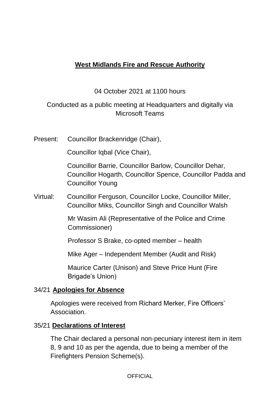## **West Midlands Fire and Rescue Authority**

#### 04 October 2021 at 1100 hours

## Conducted as a public meeting at Headquarters and digitally via Microsoft Teams

Present: Councillor Brackenridge (Chair),

Councillor Iqbal (Vice Chair),

Councillor Barrie, Councillor Barlow, Councillor Dehar, Councillor Hogarth, Councillor Spence, Councillor Padda and Councillor Young

Virtual: Councillor Ferguson, Councillor Locke, Councillor Miller, Councillor Miks, Councillor Singh and Councillor Walsh

> Mr Wasim Ali (Representative of the Police and Crime Commissioner)

Professor S Brake, co-opted member – health

Mike Ager – Independent Member (Audit and Risk)

Maurice Carter (Unison) and Steve Price Hunt (Fire Brigade's Union)

#### 34/21 **Apologies for Absence**

Apologies were received from Richard Merker, Fire Officers' Association.

### 35/21 **Declarations of Interest**

The Chair declared a personal non-pecuniary interest item in item 8, 9 and 10 as per the agenda, due to being a member of the Firefighters Pension Scheme(s).

**OFFICIAL**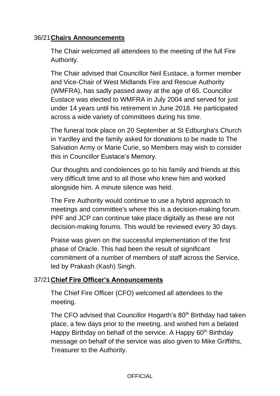#### 36/21**Chairs Announcements**

The Chair welcomed all attendees to the meeting of the full Fire Authority.

The Chair advised that Councillor Neil Eustace, a former member and Vice-Chair of West Midlands Fire and Rescue Authority (WMFRA), has sadly passed away at the age of 65. Councillor Eustace was elected to WMFRA in July 2004 and served for just under 14 years until his retirement in June 2018. He participated across a wide variety of committees during his time.

The funeral took place on 20 September at St Edburgha's Church in Yardley and the family asked for donations to be made to The Salvation Army or Marie Curie, so Members may wish to consider this in Councillor Eustace's Memory.

Our thoughts and condolences go to his family and friends at this very difficult time and to all those who knew him and worked alongside him. A minute silence was held.

The Fire Authority would continue to use a hybrid approach to meetings and committee's where this is a decision-making forum. PPF and JCP can continue take place digitally as these are not decision-making forums. This would be reviewed every 30 days.

Praise was given on the successful implementation of the first phase of Oracle. This had been the result of significant commitment of a number of members of staff across the Service, led by Prakash (Kash) Singh.

#### 37/21**Chief Fire Officer's Announcements**

The Chief Fire Officer (CFO) welcomed all attendees to the meeting.

The CFO advised that Councillor Hogarth's 80<sup>th</sup> Birthday had taken place, a few days prior to the meeting, and wished him a belated Happy Birthday on behalf of the service. A Happy 60<sup>th</sup> Birthday message on behalf of the service was also given to Mike Griffiths, Treasurer to the Authority.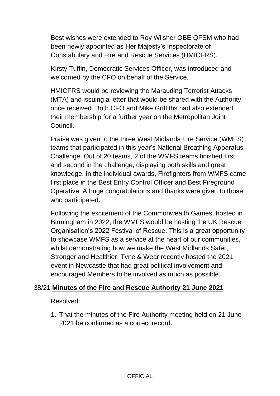Best wishes were extended to Roy Wilsher OBE QFSM who had been newly appointed as Her Majesty's Inspectorate of Constabulary and Fire and Rescue Services (HMICFRS).

Kirsty Tuffin, Democratic Services Officer, was introduced and welcomed by the CFO on behalf of the Service.

HMICFRS would be reviewing the Marauding Terrorist Attacks (MTA) and issuing a letter that would be shared with the Authority, once received. Both CFO and Mike Griffiths had also extended their membership for a further year on the Metropolitan Joint Council.

Praise was given to the three West Midlands Fire Service (WMFS) teams that participated in this year's National Breathing Apparatus Challenge. Out of 20 teams, 2 of the WMFS teams finished first and second in the challenge, displaying both skills and great knowledge. In the individual awards, Firefighters from WMFS came first place in the Best Entry Control Officer and Best Fireground Operative. A huge congratulations and thanks were given to those who participated.

Following the excitement of the Commonwealth Games, hosted in Birmingham in 2022, the WMFS would be hosting the UK Rescue Organisation's 2022 Festival of Rescue. This is a great opportunity to showcase WMFS as a service at the heart of our communities, whilst demonstrating how we make the West Midlands Safer, Stronger and Healthier. Tyne & Wear recently hosted the 2021 event in Newcastle that had great political involvement and encouraged Members to be involved as much as possible.

#### 38/21 **Minutes of the Fire and Rescue Authority 21 June 2021**

Resolved:

1. That the minutes of the Fire Authority meeting held on 21 June 2021 be confirmed as a correct record.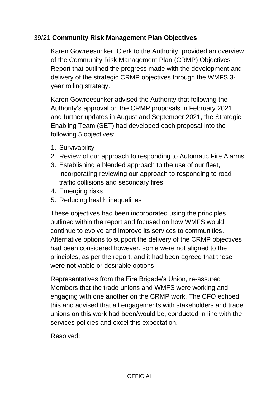## 39/21 **Community Risk Management Plan Objectives**

Karen Gowreesunker, Clerk to the Authority, provided an overview of the Community Risk Management Plan (CRMP) Objectives Report that outlined the progress made with the development and delivery of the strategic CRMP objectives through the WMFS 3 year rolling strategy.

Karen Gowreesunker advised the Authority that following the Authority's approval on the CRMP proposals in February 2021, and further updates in August and September 2021, the Strategic Enabling Team (SET) had developed each proposal into the following 5 objectives:

- 1. Survivability
- 2. Review of our approach to responding to Automatic Fire Alarms
- 3. Establishing a blended approach to the use of our fleet, incorporating reviewing our approach to responding to road traffic collisions and secondary fires
- 4. Emerging risks
- 5. Reducing health inequalities

These objectives had been incorporated using the principles outlined within the report and focused on how WMFS would continue to evolve and improve its services to communities. Alternative options to support the delivery of the CRMP objectives had been considered however, some were not aligned to the principles, as per the report, and it had been agreed that these were not viable or desirable options.

Representatives from the Fire Brigade's Union, re-assured Members that the trade unions and WMFS were working and engaging with one another on the CRMP work. The CFO echoed this and advised that all engagements with stakeholders and trade unions on this work had been/would be, conducted in line with the services policies and excel this expectation.

Resolved: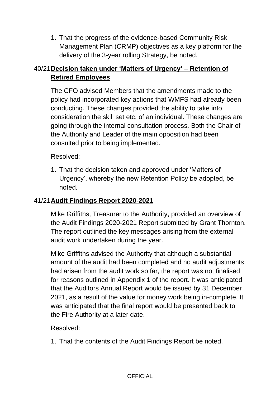1. That the progress of the evidence-based Community Risk Management Plan (CRMP) objectives as a key platform for the delivery of the 3-year rolling Strategy, be noted.

# 40/21**Decision taken under 'Matters of Urgency' – Retention of Retired Employees**

The CFO advised Members that the amendments made to the policy had incorporated key actions that WMFS had already been conducting. These changes provided the ability to take into consideration the skill set etc, of an individual. These changes are going through the internal consultation process. Both the Chair of the Authority and Leader of the main opposition had been consulted prior to being implemented.

Resolved:

1. That the decision taken and approved under 'Matters of Urgency', whereby the new Retention Policy be adopted, be noted.

## 41/21**Audit Findings Report 2020-2021**

Mike Griffiths, Treasurer to the Authority, provided an overview of the Audit Findings 2020-2021 Report submitted by Grant Thornton. The report outlined the key messages arising from the external audit work undertaken during the year.

Mike Griffiths advised the Authority that although a substantial amount of the audit had been completed and no audit adjustments had arisen from the audit work so far, the report was not finalised for reasons outlined in Appendix 1 of the report. It was anticipated that the Auditors Annual Report would be issued by 31 December 2021, as a result of the value for money work being in-complete. It was anticipated that the final report would be presented back to the Fire Authority at a later date.

Resolved:

1. That the contents of the Audit Findings Report be noted.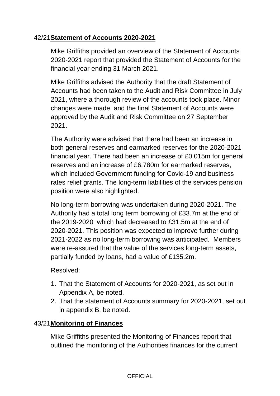## 42/21**Statement of Accounts 2020-2021**

Mike Griffiths provided an overview of the Statement of Accounts 2020-2021 report that provided the Statement of Accounts for the financial year ending 31 March 2021.

Mike Griffiths advised the Authority that the draft Statement of Accounts had been taken to the Audit and Risk Committee in July 2021, where a thorough review of the accounts took place. Minor changes were made, and the final Statement of Accounts were approved by the Audit and Risk Committee on 27 September 2021.

The Authority were advised that there had been an increase in both general reserves and earmarked reserves for the 2020-2021 financial year. There had been an increase of £0.015m for general reserves and an increase of £6.780m for earmarked reserves, which included Government funding for Covid-19 and business rates relief grants. The long-term liabilities of the services pension position were also highlighted.

No long-term borrowing was undertaken during 2020-2021. The Authority had a total long term borrowing of £33.7m at the end of the 2019-2020 which had decreased to £31.5m at the end of 2020-2021. This position was expected to improve further during 2021-2022 as no long-term borrowing was anticipated. Members were re-assured that the value of the services long-term assets, partially funded by loans, had a value of £135.2m.

Resolved:

- 1. That the Statement of Accounts for 2020-2021, as set out in Appendix A, be noted.
- 2. That the statement of Accounts summary for 2020-2021, set out in appendix B, be noted.

## 43/21**Monitoring of Finances**

Mike Griffiths presented the Monitoring of Finances report that outlined the monitoring of the Authorities finances for the current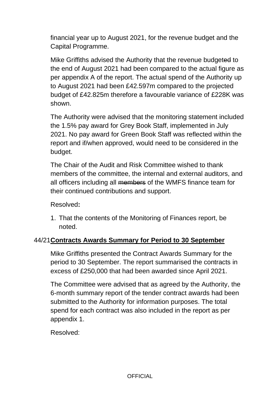financial year up to August 2021, for the revenue budget and the Capital Programme.

Mike Griffiths advised the Authority that the revenue budgeted to the end of August 2021 had been compared to the actual figure as per appendix A of the report. The actual spend of the Authority up to August 2021 had been £42.597m compared to the projected budget of £42.825m therefore a favourable variance of £228K was shown.

The Authority were advised that the monitoring statement included the 1.5% pay award for Grey Book Staff, implemented in July 2021. No pay award for Green Book Staff was reflected within the report and if/when approved, would need to be considered in the budget.

The Chair of the Audit and Risk Committee wished to thank members of the committee, the internal and external auditors, and all officers including all members of the WMFS finance team for their continued contributions and support.

Resolved**:** 

1. That the contents of the Monitoring of Finances report, be noted.

### 44/21**Contracts Awards Summary for Period to 30 September**

Mike Griffiths presented the Contract Awards Summary for the period to 30 September. The report summarised the contracts in excess of £250,000 that had been awarded since April 2021.

The Committee were advised that as agreed by the Authority, the 6-month summary report of the tender contract awards had been submitted to the Authority for information purposes. The total spend for each contract was also included in the report as per appendix 1.

Resolved: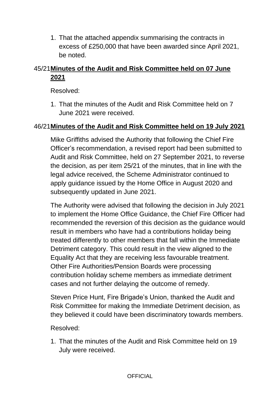1. That the attached appendix summarising the contracts in excess of £250,000 that have been awarded since April 2021, be noted.

## 45/21**Minutes of the Audit and Risk Committee held on 07 June 2021**

Resolved:

1. That the minutes of the Audit and Risk Committee held on 7 June 2021 were received.

## 46/21**Minutes of the Audit and Risk Committee held on 19 July 2021**

Mike Griffiths advised the Authority that following the Chief Fire Officer's recommendation, a revised report had been submitted to Audit and Risk Committee, held on 27 September 2021, to reverse the decision, as per item 25/21 of the minutes, that in line with the legal advice received, the Scheme Administrator continued to apply guidance issued by the Home Office in August 2020 and subsequently updated in June 2021.

The Authority were advised that following the decision in July 2021 to implement the Home Office Guidance, the Chief Fire Officer had recommended the reversion of this decision as the guidance would result in members who have had a contributions holiday being treated differently to other members that fall within the Immediate Detriment category. This could result in the view aligned to the Equality Act that they are receiving less favourable treatment. Other Fire Authorities/Pension Boards were processing contribution holiday scheme members as immediate detriment cases and not further delaying the outcome of remedy.

Steven Price Hunt, Fire Brigade's Union, thanked the Audit and Risk Committee for making the Immediate Detriment decision, as they believed it could have been discriminatory towards members.

Resolved:

1. That the minutes of the Audit and Risk Committee held on 19 July were received.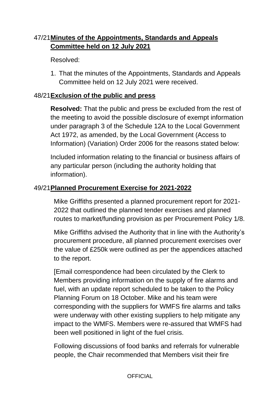## 47/21**Minutes of the Appointments, Standards and Appeals Committee held on 12 July 2021**

Resolved:

1. That the minutes of the Appointments, Standards and Appeals Committee held on 12 July 2021 were received.

## 48/21**Exclusion of the public and press**

**Resolved:** That the public and press be excluded from the rest of the meeting to avoid the possible disclosure of exempt information under paragraph 3 of the Schedule 12A to the Local Government Act 1972, as amended, by the Local Government (Access to Information) (Variation) Order 2006 for the reasons stated below:

Included information relating to the financial or business affairs of any particular person (including the authority holding that information).

## 49/21**Planned Procurement Exercise for 2021-2022**

Mike Griffiths presented a planned procurement report for 2021- 2022 that outlined the planned tender exercises and planned routes to market/funding provision as per Procurement Policy 1/8.

Mike Griffiths advised the Authority that in line with the Authority's procurement procedure, all planned procurement exercises over the value of £250k were outlined as per the appendices attached to the report.

[Email correspondence had been circulated by the Clerk to Members providing information on the supply of fire alarms and fuel, with an update report scheduled to be taken to the Policy Planning Forum on 18 October. Mike and his team were corresponding with the suppliers for WMFS fire alarms and talks were underway with other existing suppliers to help mitigate any impact to the WMFS. Members were re-assured that WMFS had been well positioned in light of the fuel crisis.

Following discussions of food banks and referrals for vulnerable people, the Chair recommended that Members visit their fire